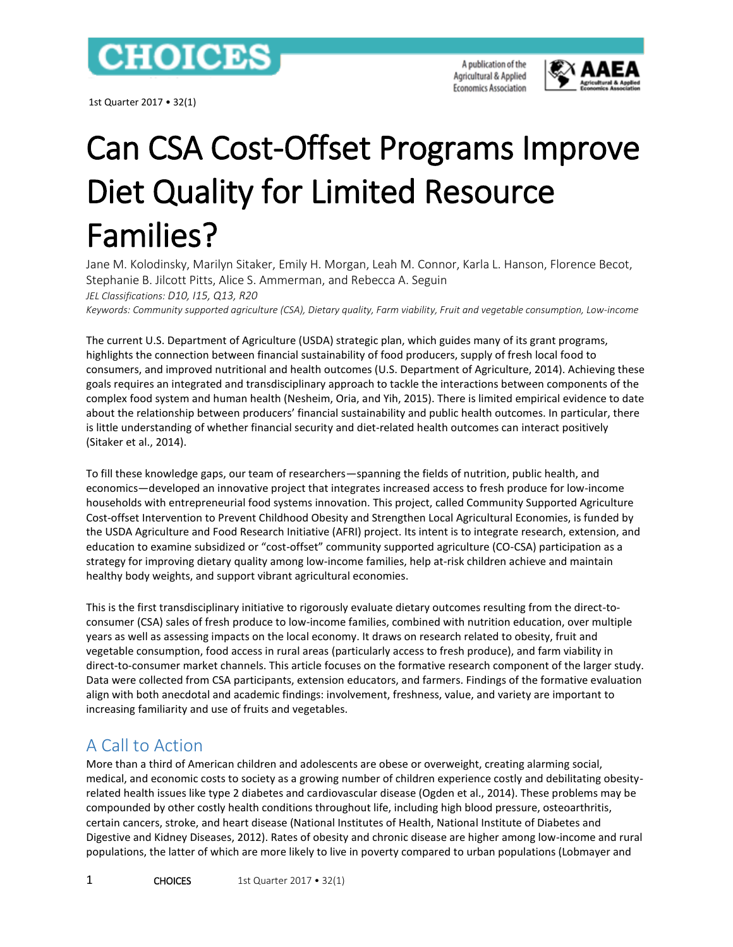

1st Quarter 2017 • 32(1)

A publication of the Agricultural & Applied **Economics Association** 



# Can CSA Cost-Offset Programs Improve Diet Quality for Limited Resource Families?

Jane M. Kolodinsky, Marilyn Sitaker, Emily H. Morgan, Leah M. Connor, Karla L. Hanson, Florence Becot, Stephanie B. Jilcott Pitts, Alice S. Ammerman, and Rebecca A. Seguin *JEL Classifications: D10, I15, Q13, R20*

*Keywords: Community supported agriculture (CSA), Dietary quality, Farm viability, Fruit and vegetable consumption, Low-income*

The current U.S. Department of Agriculture (USDA) strategic plan, which guides many of its grant programs, highlights the connection between financial sustainability of food producers, supply of fresh local food to consumers, and improved nutritional and health outcomes (U.S. Department of Agriculture, 2014). Achieving these goals requires an integrated and transdisciplinary approach to tackle the interactions between components of the complex food system and human health (Nesheim, Oria, and Yih, 2015). There is limited empirical evidence to date about the relationship between producers' financial sustainability and public health outcomes. In particular, there is little understanding of whether financial security and diet-related health outcomes can interact positively (Sitaker et al., 2014).

To fill these knowledge gaps, our team of researchers—spanning the fields of nutrition, public health, and economics—developed an innovative project that integrates increased access to fresh produce for low-income households with entrepreneurial food systems innovation. This project, called Community Supported Agriculture Cost-offset Intervention to Prevent Childhood Obesity and Strengthen Local Agricultural Economies, is funded by the USDA Agriculture and Food Research Initiative (AFRI) project. Its intent is to integrate research, extension, and education to examine subsidized or "cost-offset" community supported agriculture (CO-CSA) participation as a strategy for improving dietary quality among low-income families, help at-risk children achieve and maintain healthy body weights, and support vibrant agricultural economies.

This is the first transdisciplinary initiative to rigorously evaluate dietary outcomes resulting from the direct-toconsumer (CSA) sales of fresh produce to low-income families, combined with nutrition education, over multiple years as well as assessing impacts on the local economy. It draws on research related to obesity, fruit and vegetable consumption, food access in rural areas (particularly access to fresh produce), and farm viability in direct-to-consumer market channels. This article focuses on the formative research component of the larger study. Data were collected from CSA participants, extension educators, and farmers. Findings of the formative evaluation align with both anecdotal and academic findings: involvement, freshness, value, and variety are important to increasing familiarity and use of fruits and vegetables.

#### A Call to Action

More than a third of American children and adolescents are obese or overweight, creating alarming social, medical, and economic costs to society as a growing number of children experience costly and debilitating obesityrelated health issues like type 2 diabetes and cardiovascular disease (Ogden et al., 2014). These problems may be compounded by other costly health conditions throughout life, including high blood pressure, osteoarthritis, certain cancers, stroke, and heart disease (National Institutes of Health, National Institute of Diabetes and Digestive and Kidney Diseases, 2012). Rates of obesity and chronic disease are higher among low-income and rural populations, the latter of which are more likely to live in poverty compared to urban populations (Lobmayer and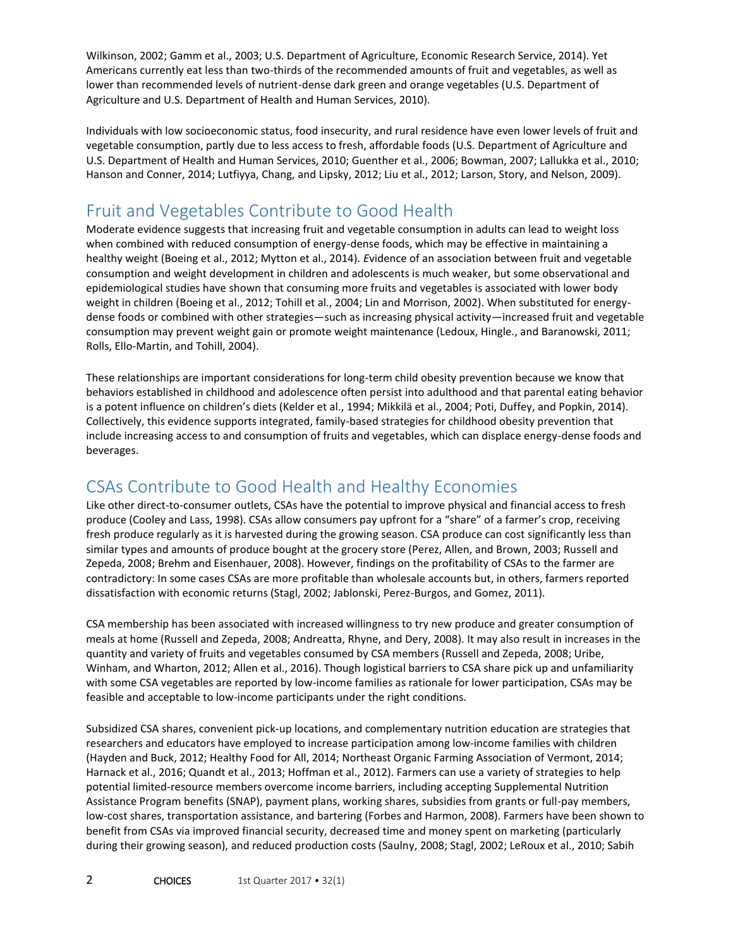Wilkinson, 2002; Gamm et al., 2003; U.S. Department of Agriculture, Economic Research Service, 2014). Yet Americans currently eat less than two-thirds of the recommended amounts of fruit and vegetables, as well as lower than recommended levels of nutrient-dense dark green and orange vegetables (U.S. Department of Agriculture and U.S. Department of Health and Human Services, 2010).

Individuals with low socioeconomic status, food insecurity, and rural residence have even lower levels of fruit and vegetable consumption, partly due to less access to fresh, affordable foods (U.S. Department of Agriculture and U.S. Department of Health and Human Services, 2010; Guenther et al., 2006; Bowman, 2007; Lallukka et al., 2010; Hanson and Conner, 2014; Lutfiyya, Chang, and Lipsky, 2012; Liu et al., 2012; Larson, Story, and Nelson, 2009).

### Fruit and Vegetables Contribute to Good Health

Moderate evidence suggests that increasing fruit and vegetable consumption in adults can lead to weight loss when combined with reduced consumption of energy-dense foods, which may be effective in maintaining a healthy weight (Boeing et al., 2012; Mytton et al., 2014). *E*vidence of an association between fruit and vegetable consumption and weight development in children and adolescents is much weaker, but some observational and epidemiological studies have shown that consuming more fruits and vegetables is associated with lower body weight in children (Boeing et al., 2012; Tohill et al., 2004; Lin and Morrison, 2002). When substituted for energydense foods or combined with other strategies—such as increasing physical activity—increased fruit and vegetable consumption may prevent weight gain or promote weight maintenance (Ledoux, Hingle., and Baranowski, 2011; Rolls, Ello-Martin, and Tohill, 2004).

These relationships are important considerations for long-term child obesity prevention because we know that behaviors established in childhood and adolescence often persist into adulthood and that parental eating behavior is a potent influence on children's diets (Kelder et al., 1994; Mikkilä et al., 2004; Poti, Duffey, and Popkin, 2014). Collectively, this evidence supports integrated, family-based strategies for childhood obesity prevention that include increasing access to and consumption of fruits and vegetables, which can displace energy-dense foods and beverages.

#### CSAs Contribute to Good Health and Healthy Economies

Like other direct-to-consumer outlets, CSAs have the potential to improve physical and financial access to fresh produce (Cooley and Lass, 1998). CSAs allow consumers pay upfront for a "share" of a farmer's crop, receiving fresh produce regularly as it is harvested during the growing season. CSA produce can cost significantly less than similar types and amounts of produce bought at the grocery store (Perez, Allen, and Brown, 2003; Russell and Zepeda, 2008; Brehm and Eisenhauer, 2008). However, findings on the profitability of CSAs to the farmer are contradictory: In some cases CSAs are more profitable than wholesale accounts but, in others, farmers reported dissatisfaction with economic returns (Stagl, 2002; Jablonski, Perez-Burgos, and Gomez, 2011).

CSA membership has been associated with increased willingness to try new produce and greater consumption of meals at home (Russell and Zepeda, 2008; Andreatta, Rhyne, and Dery, 2008). It may also result in increases in the quantity and variety of fruits and vegetables consumed by CSA members (Russell and Zepeda, 2008; Uribe, Winham, and Wharton, 2012; Allen et al., 2016). Though logistical barriers to CSA share pick up and unfamiliarity with some CSA vegetables are reported by low-income families as rationale for lower participation, CSAs may be feasible and acceptable to low-income participants under the right conditions.

Subsidized CSA shares, convenient pick-up locations, and complementary nutrition education are strategies that researchers and educators have employed to increase participation among low-income families with children (Hayden and Buck, 2012; Healthy Food for All, 2014; Northeast Organic Farming Association of Vermont, 2014; Harnack et al., 2016; Quandt et al., 2013; Hoffman et al., 2012). Farmers can use a variety of strategies to help potential limited-resource members overcome income barriers, including accepting Supplemental Nutrition Assistance Program benefits (SNAP), payment plans, working shares, subsidies from grants or full-pay members, low-cost shares, transportation assistance, and bartering (Forbes and Harmon, 2008). Farmers have been shown to benefit from CSAs via improved financial security, decreased time and money spent on marketing (particularly during their growing season), and reduced production costs (Saulny, 2008; Stagl, 2002; LeRoux et al., 2010; Sabih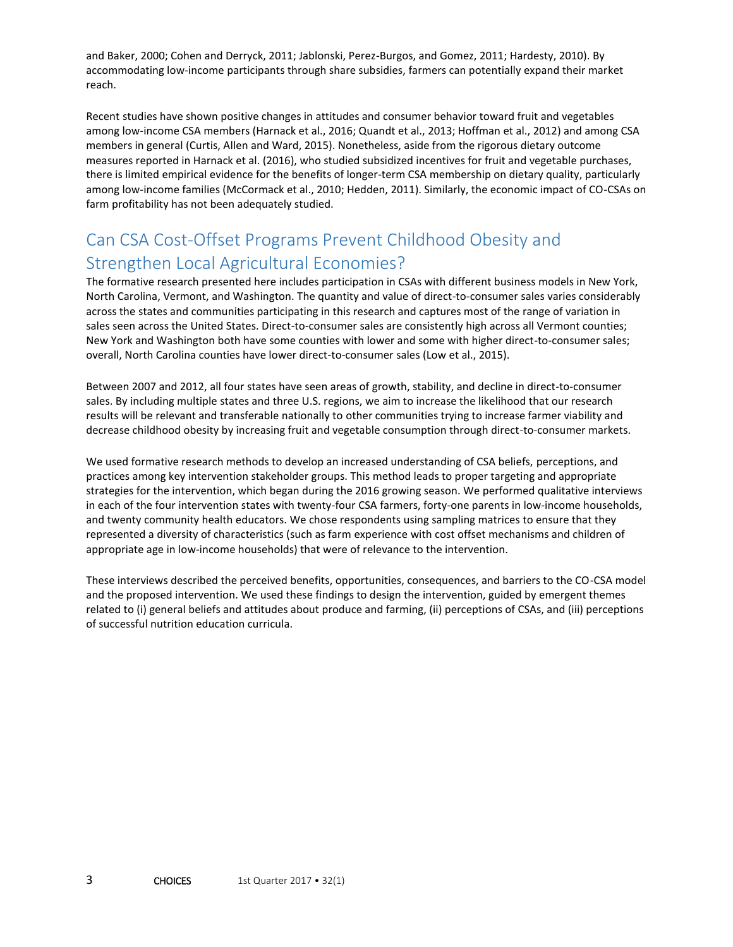and Baker, 2000; Cohen and Derryck, 2011; Jablonski, Perez-Burgos, and Gomez, 2011; Hardesty, 2010). By accommodating low-income participants through share subsidies, farmers can potentially expand their market reach.

Recent studies have shown positive changes in attitudes and consumer behavior toward fruit and vegetables among low-income CSA members (Harnack et al., 2016; Quandt et al., 2013; Hoffman et al., 2012) and among CSA members in general (Curtis, Allen and Ward, 2015). Nonetheless, aside from the rigorous dietary outcome measures reported in Harnack et al. (2016), who studied subsidized incentives for fruit and vegetable purchases, there is limited empirical evidence for the benefits of longer-term CSA membership on dietary quality, particularly among low-income families (McCormack et al., 2010; Hedden, 2011). Similarly, the economic impact of CO-CSAs on farm profitability has not been adequately studied.

#### Can CSA Cost-Offset Programs Prevent Childhood Obesity and Strengthen Local Agricultural Economies?

The formative research presented here includes participation in CSAs with different business models in New York, North Carolina, Vermont, and Washington. The quantity and value of direct-to-consumer sales varies considerably across the states and communities participating in this research and captures most of the range of variation in sales seen across the United States. Direct-to-consumer sales are consistently high across all Vermont counties; New York and Washington both have some counties with lower and some with higher direct-to-consumer sales; overall, North Carolina counties have lower direct-to-consumer sales (Low et al., 2015).

Between 2007 and 2012, all four states have seen areas of growth, stability, and decline in direct-to-consumer sales. By including multiple states and three U.S. regions, we aim to increase the likelihood that our research results will be relevant and transferable nationally to other communities trying to increase farmer viability and decrease childhood obesity by increasing fruit and vegetable consumption through direct-to-consumer markets.

We used formative research methods to develop an increased understanding of CSA beliefs, perceptions, and practices among key intervention stakeholder groups. This method leads to proper targeting and appropriate strategies for the intervention, which began during the 2016 growing season. We performed qualitative interviews in each of the four intervention states with twenty-four CSA farmers, forty-one parents in low-income households, and twenty community health educators. We chose respondents using sampling matrices to ensure that they represented a diversity of characteristics (such as farm experience with cost offset mechanisms and children of appropriate age in low-income households) that were of relevance to the intervention.

These interviews described the perceived benefits, opportunities, consequences, and barriers to the CO-CSA model and the proposed intervention. We used these findings to design the intervention, guided by emergent themes related to (i) general beliefs and attitudes about produce and farming, (ii) perceptions of CSAs, and (iii) perceptions of successful nutrition education curricula.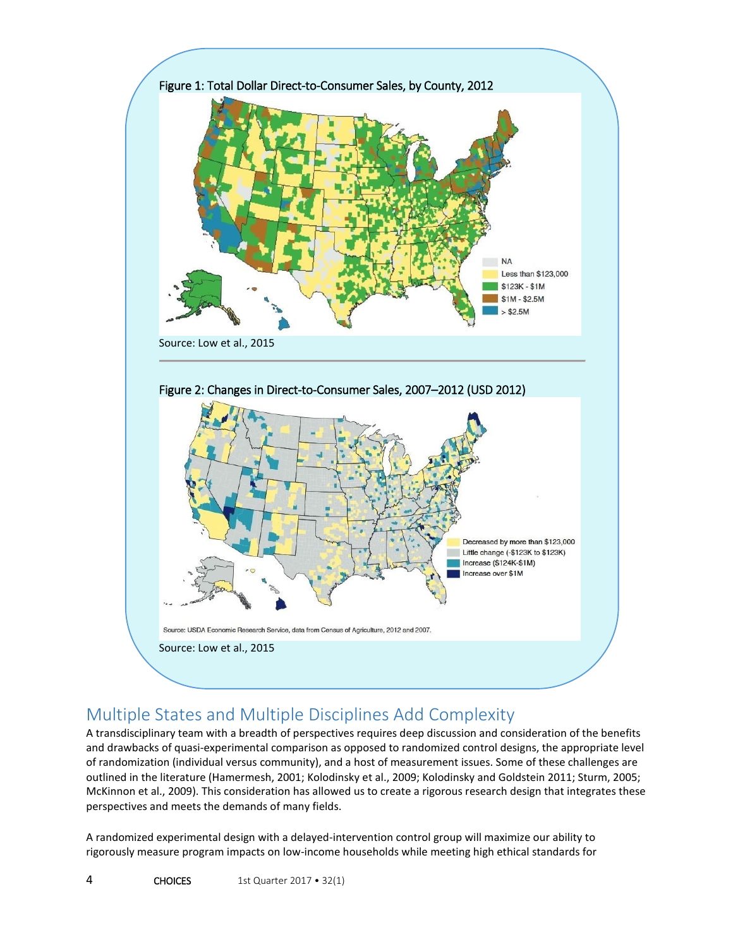

## Multiple States and Multiple Disciplines Add Complexity

A transdisciplinary team with a breadth of perspectives requires deep discussion and consideration of the benefits and drawbacks of quasi-experimental comparison as opposed to randomized control designs, the appropriate level of randomization (individual versus community), and a host of measurement issues. Some of these challenges are outlined in the literature (Hamermesh, 2001; Kolodinsky et al., 2009; Kolodinsky and Goldstein 2011; Sturm, 2005; McKinnon et al., 2009). This consideration has allowed us to create a rigorous research design that integrates these perspectives and meets the demands of many fields.

A randomized experimental design with a delayed-intervention control group will maximize our ability to rigorously measure program impacts on low-income households while meeting high ethical standards for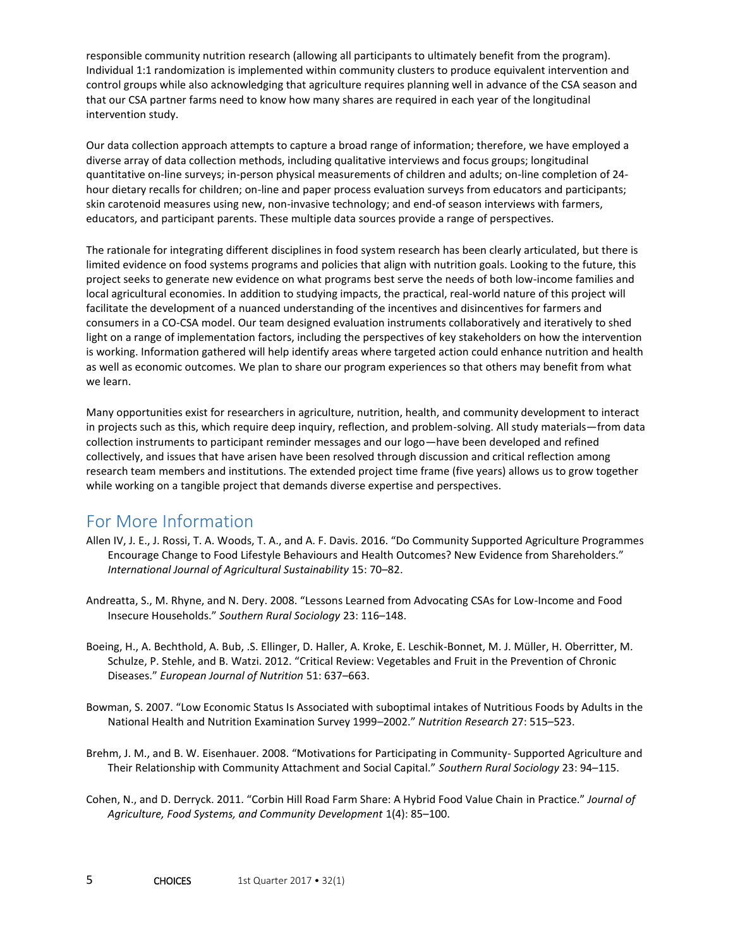responsible community nutrition research (allowing all participants to ultimately benefit from the program). Individual 1:1 randomization is implemented within community clusters to produce equivalent intervention and control groups while also acknowledging that agriculture requires planning well in advance of the CSA season and that our CSA partner farms need to know how many shares are required in each year of the longitudinal intervention study.

Our data collection approach attempts to capture a broad range of information; therefore, we have employed a diverse array of data collection methods, including qualitative interviews and focus groups; longitudinal quantitative on-line surveys; in-person physical measurements of children and adults; on-line completion of 24 hour dietary recalls for children; on-line and paper process evaluation surveys from educators and participants; skin carotenoid measures using new, non-invasive technology; and end-of season interviews with farmers, educators, and participant parents. These multiple data sources provide a range of perspectives.

The rationale for integrating different disciplines in food system research has been clearly articulated, but there is limited evidence on food systems programs and policies that align with nutrition goals. Looking to the future, this project seeks to generate new evidence on what programs best serve the needs of both low-income families and local agricultural economies. In addition to studying impacts, the practical, real-world nature of this project will facilitate the development of a nuanced understanding of the incentives and disincentives for farmers and consumers in a CO-CSA model. Our team designed evaluation instruments collaboratively and iteratively to shed light on a range of implementation factors, including the perspectives of key stakeholders on how the intervention is working. Information gathered will help identify areas where targeted action could enhance nutrition and health as well as economic outcomes. We plan to share our program experiences so that others may benefit from what we learn.

Many opportunities exist for researchers in agriculture, nutrition, health, and community development to interact in projects such as this, which require deep inquiry, reflection, and problem-solving. All study materials—from data collection instruments to participant reminder messages and our logo—have been developed and refined collectively, and issues that have arisen have been resolved through discussion and critical reflection among research team members and institutions. The extended project time frame (five years) allows us to grow together while working on a tangible project that demands diverse expertise and perspectives.

#### For More Information

- Allen IV, J. E., J. Rossi, T. A. Woods, T. A., and A. F. Davis. 2016. "Do Community Supported Agriculture Programmes Encourage Change to Food Lifestyle Behaviours and Health Outcomes? New Evidence from Shareholders." *International Journal of Agricultural Sustainability* 15: 70–82.
- Andreatta, S., M. Rhyne, and N. Dery. 2008. "Lessons Learned from Advocating CSAs for Low-Income and Food Insecure Households." *Southern Rural Sociology* 23: 116–148.
- Boeing, H., A. Bechthold, A. Bub, .S. Ellinger, D. Haller, A. Kroke, E. Leschik-Bonnet, M. J. Müller, H. Oberritter, M. Schulze, P. Stehle, and B. Watzi. 2012. "Critical Review: Vegetables and Fruit in the Prevention of Chronic Diseases." *European Journal of Nutrition* 51: 637–663.
- Bowman, S. 2007. "Low Economic Status Is Associated with suboptimal intakes of Nutritious Foods by Adults in the National Health and Nutrition Examination Survey 1999–2002." *Nutrition Research* 27: 515–523.
- Brehm, J. M., and B. W. Eisenhauer. 2008. "Motivations for Participating in Community- Supported Agriculture and Their Relationship with Community Attachment and Social Capital." *Southern Rural Sociology* 23: 94–115.
- Cohen, N., and D. Derryck. 2011. "Corbin Hill Road Farm Share: A Hybrid Food Value Chain in Practice." *Journal of Agriculture, Food Systems, and Community Development* 1(4): 85–100.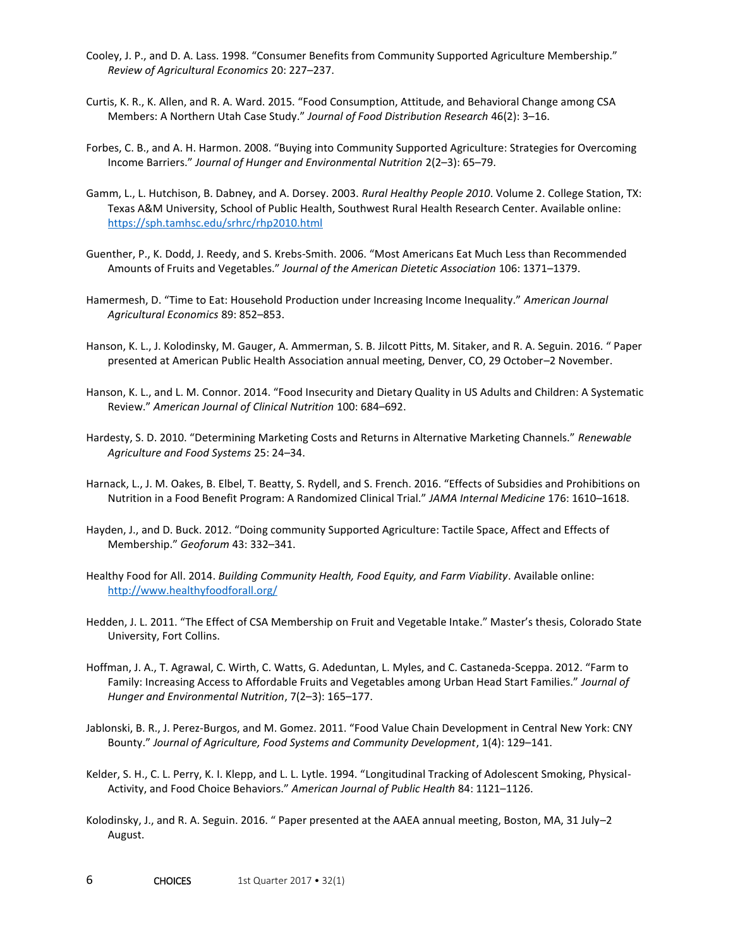- Cooley, J. P., and D. A. Lass. 1998. "Consumer Benefits from Community Supported Agriculture Membership." *Review of Agricultural Economics* 20: 227–237.
- Curtis, K. R., K. Allen, and R. A. Ward. 2015. "Food Consumption, Attitude, and Behavioral Change among CSA Members: A Northern Utah Case Study." *Journal of Food Distribution Research* 46(2): 3–16.
- Forbes, C. B., and A. H. Harmon. 2008. "Buying into Community Supported Agriculture: Strategies for Overcoming Income Barriers." *Journal of Hunger and Environmental Nutrition* 2(2–3): 65–79.
- Gamm, L., L. Hutchison, B. Dabney, and A. Dorsey. 2003. *Rural Healthy People 2010*. Volume 2. College Station, TX: Texas A&M University, School of Public Health, Southwest Rural Health Research Center. Available online: <https://sph.tamhsc.edu/srhrc/rhp2010.html>
- Guenther, P., K. Dodd, J. Reedy, and S. Krebs-Smith. 2006. "Most Americans Eat Much Less than Recommended Amounts of Fruits and Vegetables." *Journal of the American Dietetic Association* 106: 1371–1379.
- Hamermesh, D. "Time to Eat: Household Production under Increasing Income Inequality." *American Journal Agricultural Economics* 89: 852–853.
- Hanson, K. L., J. Kolodinsky, M. Gauger, A. Ammerman, S. B. Jilcott Pitts, M. Sitaker, and R. A. Seguin. 2016. " Paper presented at American Public Health Association annual meeting, Denver, CO, 29 October–2 November.
- Hanson, K. L., and L. M. Connor. 2014. "Food Insecurity and Dietary Quality in US Adults and Children: A Systematic Review." *American Journal of Clinical Nutrition* 100: 684–692.
- Hardesty, S. D. 2010. "Determining Marketing Costs and Returns in Alternative Marketing Channels." *Renewable Agriculture and Food Systems* 25: 24–34.
- Harnack, L., J. M. Oakes, B. Elbel, T. Beatty, S. Rydell, and S. French. 2016. "Effects of Subsidies and Prohibitions on Nutrition in a Food Benefit Program: A Randomized Clinical Trial." *JAMA Internal Medicine* 176: 1610–1618.
- Hayden, J., and D. Buck. 2012. "Doing community Supported Agriculture: Tactile Space, Affect and Effects of Membership." *Geoforum* 43: 332–341.
- Healthy Food for All. 2014. *Building Community Health, Food Equity, and Farm Viability*. Available online: <http://www.healthyfoodforall.org/>
- Hedden, J. L. 2011. "The Effect of CSA Membership on Fruit and Vegetable Intake." Master's thesis, Colorado State University, Fort Collins.
- Hoffman, J. A., T. Agrawal, C. Wirth, C. Watts, G. Adeduntan, L. Myles, and C. Castaneda-Sceppa. 2012. "Farm to Family: Increasing Access to Affordable Fruits and Vegetables among Urban Head Start Families." *Journal of Hunger and Environmental Nutrition*, 7(2–3): 165–177.
- Jablonski, B. R., J. Perez-Burgos, and M. Gomez. 2011. "Food Value Chain Development in Central New York: CNY Bounty." *Journal of Agriculture, Food Systems and Community Development*, 1(4): 129–141.
- Kelder, S. H., C. L. Perry, K. I. Klepp, and L. L. Lytle. 1994. "Longitudinal Tracking of Adolescent Smoking, Physical-Activity, and Food Choice Behaviors." *American Journal of Public Health* 84: 1121–1126.
- Kolodinsky, J., and R. A. Seguin. 2016. " Paper presented at the AAEA annual meeting, Boston, MA, 31 July–2 August.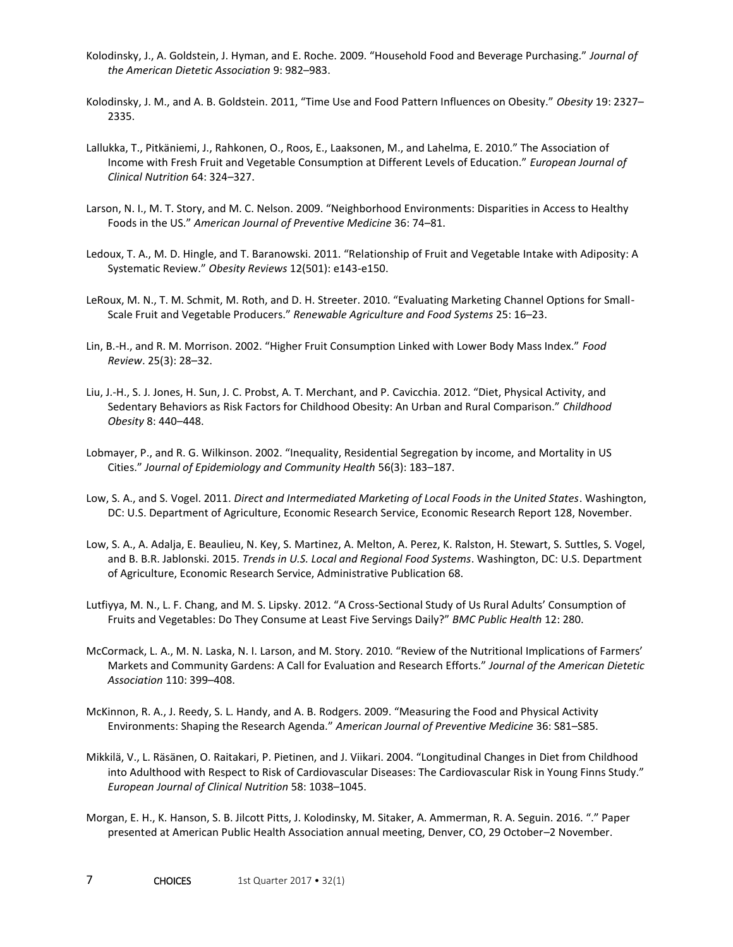- Kolodinsky, J., A. Goldstein, J. Hyman, and E. Roche. 2009. "Household Food and Beverage Purchasing." *Journal of the American Dietetic Association* 9: 982–983.
- Kolodinsky, J. M., and A. B. Goldstein. 2011, "Time Use and Food Pattern Influences on Obesity." *Obesity* 19: 2327– 2335.
- Lallukka, T., Pitkäniemi, J., Rahkonen, O., Roos, E., Laaksonen, M., and Lahelma, E. 2010." The Association of Income with Fresh Fruit and Vegetable Consumption at Different Levels of Education." *European Journal of Clinical Nutrition* 64: 324–327.
- Larson, N. I., M. T. Story, and M. C. Nelson. 2009. "Neighborhood Environments: Disparities in Access to Healthy Foods in the US." *American Journal of Preventive Medicine* 36: 74–81.
- Ledoux, T. A., M. D. Hingle, and T. Baranowski. 2011. "Relationship of Fruit and Vegetable Intake with Adiposity: A Systematic Review." *Obesity Reviews* 12(501): e143-e150.
- LeRoux, M. N., T. M. Schmit, M. Roth, and D. H. Streeter. 2010. "Evaluating Marketing Channel Options for Small-Scale Fruit and Vegetable Producers." *Renewable Agriculture and Food Systems* 25: 16–23.
- Lin, B.-H., and R. M. Morrison. 2002. "Higher Fruit Consumption Linked with Lower Body Mass Index." *Food Review*. 25(3): 28–32.
- Liu, J.-H., S. J. Jones, H. Sun, J. C. Probst, A. T. Merchant, and P. Cavicchia. 2012. "Diet, Physical Activity, and Sedentary Behaviors as Risk Factors for Childhood Obesity: An Urban and Rural Comparison." *Childhood Obesity* 8: 440–448.
- Lobmayer, P., and R. G. Wilkinson. 2002. "Inequality, Residential Segregation by income, and Mortality in US Cities." *Journal of Epidemiology and Community Health* 56(3): 183–187.
- Low, S. A., and S. Vogel. 2011. *Direct and Intermediated Marketing of Local Foods in the United States*. Washington, DC: U.S. Department of Agriculture, Economic Research Service, Economic Research Report 128, November.
- Low, S. A., A. Adalja, E. Beaulieu, N. Key, S. Martinez, A. Melton, A. Perez, K. Ralston, H. Stewart, S. Suttles, S. Vogel, and B. B.R. Jablonski. 2015. *Trends in U.S. Local and Regional Food Systems*. Washington, DC: U.S. Department of Agriculture, Economic Research Service, Administrative Publication 68.
- Lutfiyya, M. N., L. F. Chang, and M. S. Lipsky. 2012. "A Cross-Sectional Study of Us Rural Adults' Consumption of Fruits and Vegetables: Do They Consume at Least Five Servings Daily?" *BMC Public Health* 12: 280.
- McCormack, L. A., M. N. Laska, N. I. Larson, and M. Story. 2010. "Review of the Nutritional Implications of Farmers' Markets and Community Gardens: A Call for Evaluation and Research Efforts." *Journal of the American Dietetic Association* 110: 399–408.
- McKinnon, R. A., J. Reedy, S. L. Handy, and A. B. Rodgers. 2009. "Measuring the Food and Physical Activity Environments: Shaping the Research Agenda." *American Journal of Preventive Medicine* 36: S81–S85.
- Mikkilä, V., L. Räsänen, O. Raitakari, P. Pietinen, and J. Viikari. 2004. "Longitudinal Changes in Diet from Childhood into Adulthood with Respect to Risk of Cardiovascular Diseases: The Cardiovascular Risk in Young Finns Study." *European Journal of Clinical Nutrition* 58: 1038–1045.
- Morgan, E. H., K. Hanson, S. B. Jilcott Pitts, J. Kolodinsky, M. Sitaker, A. Ammerman, R. A. Seguin. 2016. "." Paper presented at American Public Health Association annual meeting, Denver, CO, 29 October–2 November.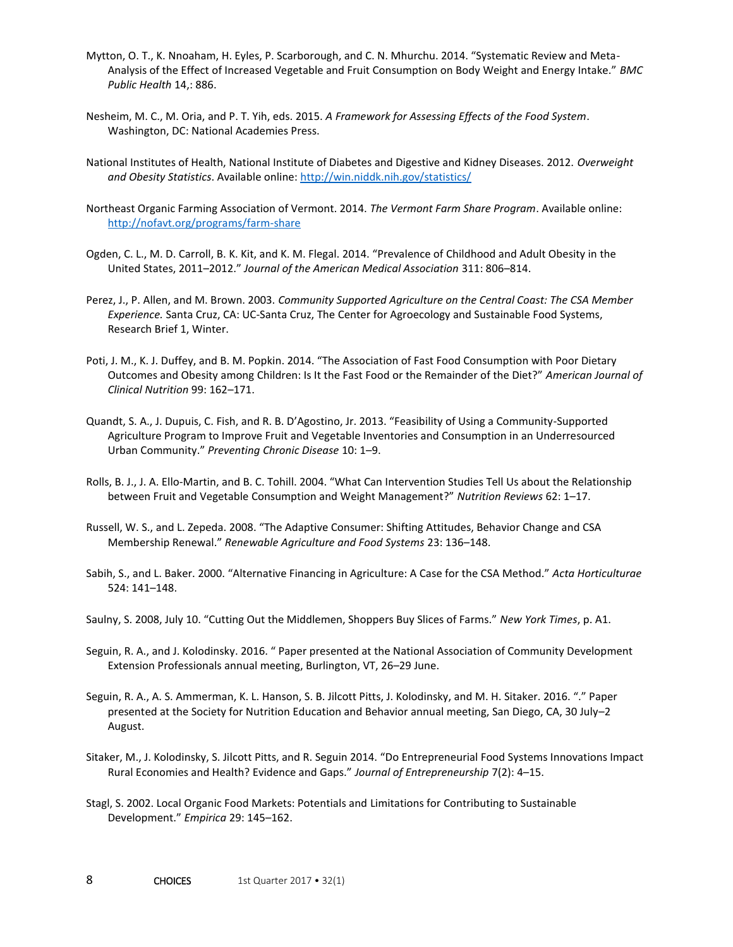- Mytton, O. T., K. Nnoaham, H. Eyles, P. Scarborough, and C. N. Mhurchu. 2014. "Systematic Review and Meta-Analysis of the Effect of Increased Vegetable and Fruit Consumption on Body Weight and Energy Intake." *BMC Public Health* 14,: 886.
- Nesheim, M. C., M. Oria, and P. T. Yih, eds. 2015. *A Framework for Assessing Effects of the Food System*. Washington, DC: National Academies Press.
- National Institutes of Health, National Institute of Diabetes and Digestive and Kidney Diseases. 2012. *Overweight and Obesity Statistics*. Available online:<http://win.niddk.nih.gov/statistics/>
- Northeast Organic Farming Association of Vermont. 2014. *The Vermont Farm Share Program*. Available online: <http://nofavt.org/programs/farm-share>
- Ogden, C. L., M. D. Carroll, B. K. Kit, and K. M. Flegal. 2014. "Prevalence of Childhood and Adult Obesity in the United States, 2011–2012." *Journal of the American Medical Association* 311: 806–814.
- Perez, J., P. Allen, and M. Brown. 2003. *Community Supported Agriculture on the Central Coast: The CSA Member Experience.* Santa Cruz, CA: UC-Santa Cruz, The Center for Agroecology and Sustainable Food Systems, Research Brief 1, Winter.
- Poti, J. M., K. J. Duffey, and B. M. Popkin. 2014. "The Association of Fast Food Consumption with Poor Dietary Outcomes and Obesity among Children: Is It the Fast Food or the Remainder of the Diet?" *American Journal of Clinical Nutrition* 99: 162–171.
- Quandt, S. A., J. Dupuis, C. Fish, and R. B. D'Agostino, Jr. 2013. "Feasibility of Using a Community-Supported Agriculture Program to Improve Fruit and Vegetable Inventories and Consumption in an Underresourced Urban Community." *Preventing Chronic Disease* 10: 1–9.
- Rolls, B. J., J. A. Ello-Martin, and B. C. Tohill. 2004. "What Can Intervention Studies Tell Us about the Relationship between Fruit and Vegetable Consumption and Weight Management?" *Nutrition Reviews* 62: 1–17.
- Russell, W. S., and L. Zepeda. 2008. "The Adaptive Consumer: Shifting Attitudes, Behavior Change and CSA Membership Renewal." *Renewable Agriculture and Food Systems* 23: 136–148.
- Sabih, S., and L. Baker. 2000. "Alternative Financing in Agriculture: A Case for the CSA Method." *Acta Horticulturae* 524: 141–148.
- Saulny, S. 2008, July 10. "Cutting Out the Middlemen, Shoppers Buy Slices of Farms." *New York Times*, p. A1.
- Seguin, R. A., and J. Kolodinsky. 2016. " Paper presented at the National Association of Community Development Extension Professionals annual meeting, Burlington, VT, 26–29 June.
- Seguin, R. A., A. S. Ammerman, K. L. Hanson, S. B. Jilcott Pitts, J. Kolodinsky, and M. H. Sitaker. 2016. "." Paper presented at the Society for Nutrition Education and Behavior annual meeting, San Diego, CA, 30 July–2 August.
- Sitaker, M., J. Kolodinsky, S. Jilcott Pitts, and R. Seguin 2014. "Do Entrepreneurial Food Systems Innovations Impact Rural Economies and Health? Evidence and Gaps." *Journal of Entrepreneurship* 7(2): 4–15.
- Stagl, S. 2002. Local Organic Food Markets: Potentials and Limitations for Contributing to Sustainable Development." *Empirica* 29: 145–162.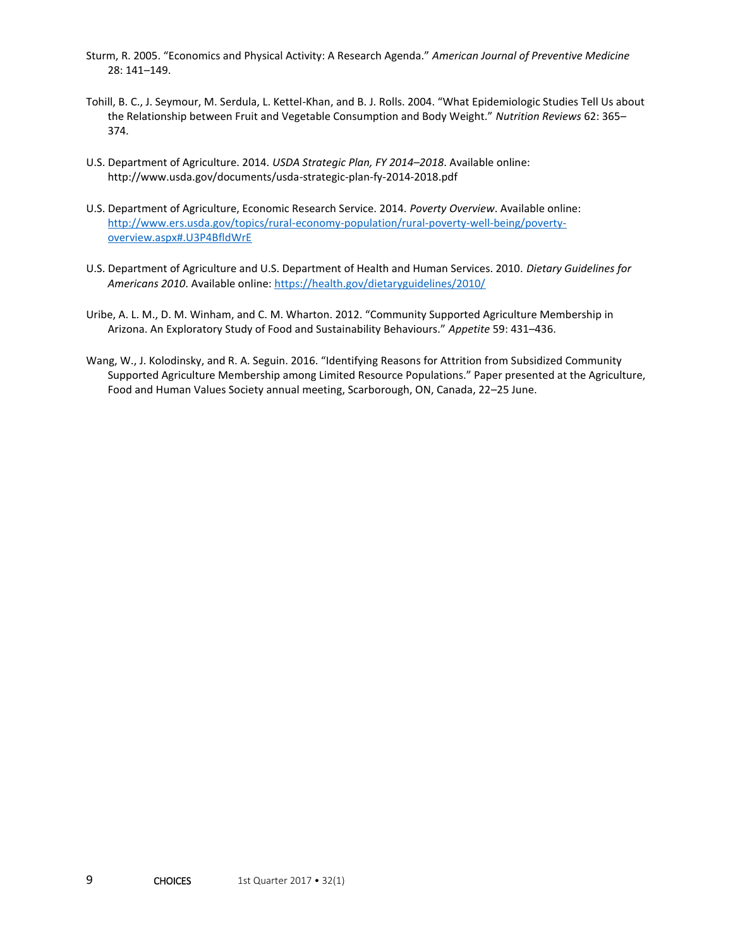- Sturm, R. 2005. "Economics and Physical Activity: A Research Agenda." *American Journal of Preventive Medicine* 28: 141–149.
- Tohill, B. C., J. Seymour, M. Serdula, L. Kettel-Khan, and B. J. Rolls. 2004. "What Epidemiologic Studies Tell Us about the Relationship between Fruit and Vegetable Consumption and Body Weight." *Nutrition Reviews* 62: 365– 374.
- U.S. Department of Agriculture. 2014. *USDA Strategic Plan, FY 2014–2018*. Available online: http://www.usda.gov/documents/usda-strategic-plan-fy-2014-2018.pdf
- U.S. Department of Agriculture, Economic Research Service. 2014. *Poverty Overview*. Available online: [http://www.ers.usda.gov/topics/rural-economy-population/rural-poverty-well-being/poverty](http://www.ers.usda.gov/topics/rural-economy-population/rural-poverty-well-being/poverty-overview.aspx#.U3P4BfldWrE)[overview.aspx#.U3P4BfldWrE](http://www.ers.usda.gov/topics/rural-economy-population/rural-poverty-well-being/poverty-overview.aspx#.U3P4BfldWrE)
- U.S. Department of Agriculture and U.S. Department of Health and Human Services. 2010. *Dietary Guidelines for Americans 2010*. Available online[: https://health.gov/dietaryguidelines/2010/](https://health.gov/dietaryguidelines/2010/)
- Uribe, A. L. M., D. M. Winham, and C. M. Wharton. 2012. "Community Supported Agriculture Membership in Arizona. An Exploratory Study of Food and Sustainability Behaviours." *Appetite* 59: 431–436.
- Wang, W., J. Kolodinsky, and R. A. Seguin. 2016. "Identifying Reasons for Attrition from Subsidized Community Supported Agriculture Membership among Limited Resource Populations." Paper presented at the Agriculture, Food and Human Values Society annual meeting, Scarborough, ON, Canada, 22–25 June.